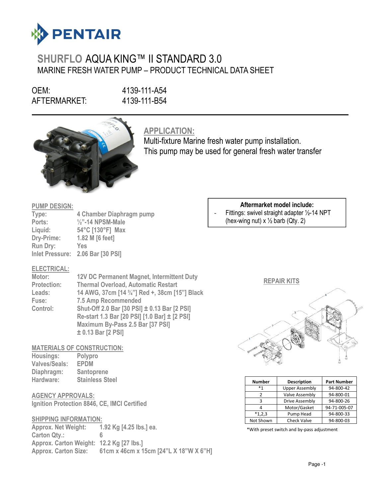

# SHURFLO AQUA KING™ II STANDARD 3.0 MARINE FRESH WATER PUMP – PRODUCT TECHNICAL DATA SHEET

OEM: 4139-111-A54<br>AFTERMARKET: 4139-111-B54 AFTERMARKET:



APPLICATION:

Multi-fixture Marine fresh water pump installation. This pump may be used for general fresh water transfer

#### PUMP DESIGN:

| Type:           | 4 Chamber Diaphragm pump     |
|-----------------|------------------------------|
| Ports:          | $\frac{1}{2}$ "-14 NPSM-Male |
| Liquid:         | 54°C [130°F] Max             |
| Dry-Prime:      | 1.82 M [6 feet]              |
| <b>Run Dry:</b> | Yes                          |
| Inlet Pressure: | 2.06 Bar [30 PSI]            |

#### ELECTRICAL:

| Motor:             | <b>12V DC Permanent Magnet, Intermittent Duty</b> |
|--------------------|---------------------------------------------------|
| <b>Protection:</b> | <b>Thermal Overload, Automatic Restart</b>        |
| Leads:             | 14 AWG, 37cm [14 3/4"] Red +, 38cm [15"] Black    |
| Fuse:              | <b>7.5 Amp Recommended</b>                        |
| Control:           | Shut-Off 2.0 Bar [30 PSI] ± 0.13 Bar [2 PSI]      |
|                    | Re-start 1.3 Bar [20 PSI] [1.0 Bar] ± [2 PSI]     |
|                    | Maximum By-Pass 2.5 Bar [37 PSI]                  |
|                    | ± 0.13 Bar [2 PSI]                                |

#### MATERIALS OF CONSTRUCTION:

| Housings:            | Polypro                |
|----------------------|------------------------|
| <b>Valves/Seals:</b> | <b>EPDM</b>            |
| Diaphragm:           | <b>Santoprene</b>      |
| Hardware:            | <b>Stainless Steel</b> |

## AGENCY APPROVALS:

Ignition Protection 8846, CE, IMCI Certified

#### SHIPPING INFORMATION:

Approx. Net Weight: 1.92 Kg [4.25 lbs.] ea. Carton Qty.: 6 Approx. Carton Weight: 12.2 Kg [27 lbs.] Approx. Carton Size: 61cm x 46cm x 15cm [24"L X 18"W X 6"H]

## Aftermarket model include: Fittings: swivel straight adapter 1/2-14 NPT (hex-wing nut)  $x \frac{1}{2}$  barb (Qty. 2)

### REPAIR KITS



| <b>Number</b> | <b>Description</b>    | <b>Part Number</b> |
|---------------|-----------------------|--------------------|
| $*1$          | <b>Upper Assembly</b> | 94-800-42          |
|               | Valve Assembly        | 94-800-01          |
| ς             | Drive Assembly        | 94-800-26          |
|               | Motor/Gasket          | 94-71-005-07       |
| $*1,2,3$      | Pump Head             | 94-800-33          |
| Not Shown     | <b>Check Valve</b>    | 94-800-03          |

\*With preset switch and by-pass adjustment